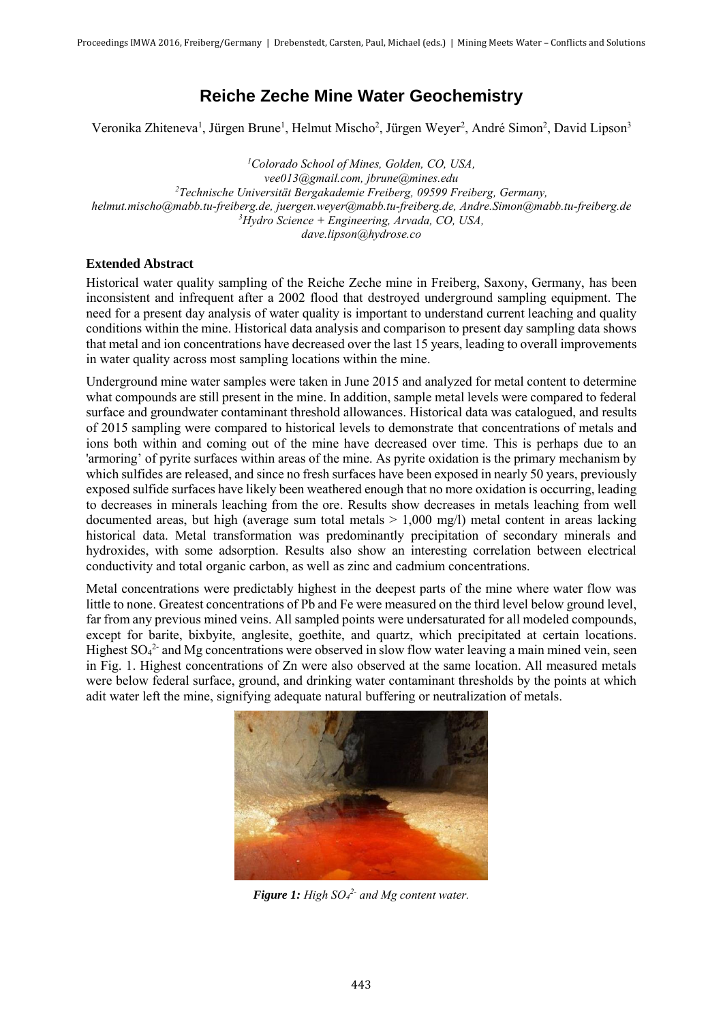## **Reiche Zeche Mine Water Geochemistry**

Veronika Zhiteneva<sup>1</sup>, Jürgen Brune<sup>1</sup>, Helmut Mischo<sup>2</sup>, Jürgen Weyer<sup>2</sup>, André Simon<sup>2</sup>, David Lipson<sup>3</sup>

*<sup>1</sup>Colorado School of Mines, Golden, CO, USA, vee013@gmail.com, jbrune@mines.edu <sup>2</sup>Technische Universität Bergakademie Freiberg, 09599 Freiberg, Germany, helmut.mischo@mabb.tu-freiberg.de, juergen.weyer@mabb.tu-freiberg.de, Andre.Simon@mabb.tu-freiberg.de <sup>3</sup>Hydro Science + Engineering, Arvada, CO, USA, dave.lipson@hydrose.co*

## **Extended Abstract**

Historical water quality sampling of the Reiche Zeche mine in Freiberg, Saxony, Germany, has been inconsistent and infrequent after a 2002 flood that destroyed underground sampling equipment. The need for a present day analysis of water quality is important to understand current leaching and quality conditions within the mine. Historical data analysis and comparison to present day sampling data shows that metal and ion concentrations have decreased over the last 15 years, leading to overall improvements in water quality across most sampling locations within the mine.

Underground mine water samples were taken in June 2015 and analyzed for metal content to determine what compounds are still present in the mine. In addition, sample metal levels were compared to federal surface and groundwater contaminant threshold allowances. Historical data was catalogued, and results of 2015 sampling were compared to historical levels to demonstrate that concentrations of metals and ions both within and coming out of the mine have decreased over time. This is perhaps due to an 'armoring' of pyrite surfaces within areas of the mine. As pyrite oxidation is the primary mechanism by which sulfides are released, and since no fresh surfaces have been exposed in nearly 50 years, previously exposed sulfide surfaces have likely been weathered enough that no more oxidation is occurring, leading to decreases in minerals leaching from the ore. Results show decreases in metals leaching from well documented areas, but high (average sum total metals  $> 1,000$  mg/l) metal content in areas lacking historical data. Metal transformation was predominantly precipitation of secondary minerals and hydroxides, with some adsorption. Results also show an interesting correlation between electrical conductivity and total organic carbon, as well as zinc and cadmium concentrations.

Metal concentrations were predictably highest in the deepest parts of the mine where water flow was little to none. Greatest concentrations of Pb and Fe were measured on the third level below ground level, far from any previous mined veins. All sampled points were undersaturated for all modeled compounds, except for barite, bixbyite, anglesite, goethite, and quartz, which precipitated at certain locations. Highest  $SO_4^2$  and Mg concentrations were observed in slow flow water leaving a main mined vein, seen in Fig. 1. Highest concentrations of Zn were also observed at the same location. All measured metals were below federal surface, ground, and drinking water contaminant thresholds by the points at which adit water left the mine, signifying adequate natural buffering or neutralization of metals.



*Figure 1: High SO<sup>4</sup> 2- and Mg content water.*